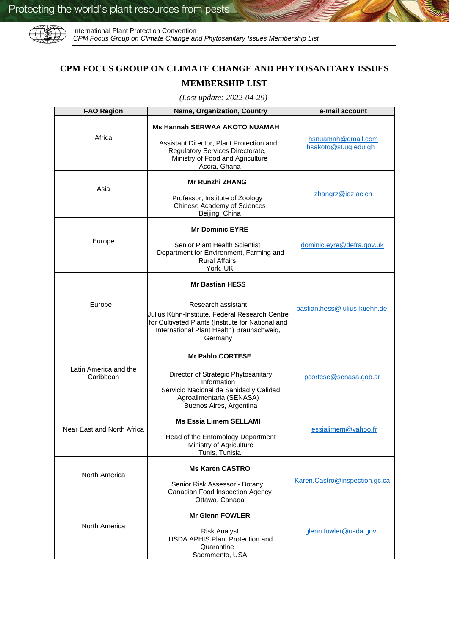

International Plant Protection Convention *CPM Focus Group on Climate Change and Phytosanitary Issues Membership List* 

## **CPM FOCUS GROUP ON CLIMATE CHANGE AND PHYTOSANITARY ISSUES MEMBERSHIP LIST**

*(Last update: 2022-04-29)*

| <b>FAO Region</b>                  | Name, Organization, Country                                                                                                                                                                                 | e-mail account                             |
|------------------------------------|-------------------------------------------------------------------------------------------------------------------------------------------------------------------------------------------------------------|--------------------------------------------|
| Africa                             | <b>Ms Hannah SERWAA AKOTO NUAMAH</b><br>Assistant Director, Plant Protection and<br>Regulatory Services Directorate,<br>Ministry of Food and Agriculture<br>Accra, Ghana                                    | hsnuamah@gmail.com<br>hsakoto@st.ug.edu.gh |
| Asia                               | <b>Mr Runzhi ZHANG</b><br>Professor, Institute of Zoology<br>Chinese Academy of Sciences<br>Beijing, China                                                                                                  | zhangrz@ioz.ac.cn                          |
| Europe                             | <b>Mr Dominic EYRE</b><br>Senior Plant Health Scientist<br>Department for Environment, Farming and<br><b>Rural Affairs</b><br>York, UK                                                                      | dominic.eyre@defra.gov.uk                  |
| Europe                             | <b>Mr Bastian HESS</b><br>Research assistant<br>Julius Kühn-Institute, Federal Research Centre<br>for Cultivated Plants (Institute for National and<br>International Plant Health) Braunschweig,<br>Germany | bastian.hess@julius-kuehn.de               |
| Latin America and the<br>Caribbean | <b>Mr Pablo CORTESE</b><br>Director of Strategic Phytosanitary<br>Information<br>Servicio Nacional de Sanidad y Calidad<br>Agroalimentaria (SENASA)<br>Buenos Aires, Argentina                              | pcortese@senasa.gob.ar                     |
| Near East and North Africa         | <b>Ms Essia Limem SELLAMI</b><br>Head of the Entomology Department<br>Ministry of Agriculture<br>Tunis, Tunisia                                                                                             | essialimem@yahoo.fr                        |
| North America                      | <b>Ms Karen CASTRO</b><br>Senior Risk Assessor - Botany<br>Canadian Food Inspection Agency<br>Ottawa, Canada                                                                                                | Karen.Castro@inspection.gc.ca              |
| North America                      | <b>Mr Glenn FOWLER</b><br><b>Risk Analyst</b><br>USDA APHIS Plant Protection and<br>Quarantine<br>Sacramento, USA                                                                                           | glenn.fowler@usda.gov                      |